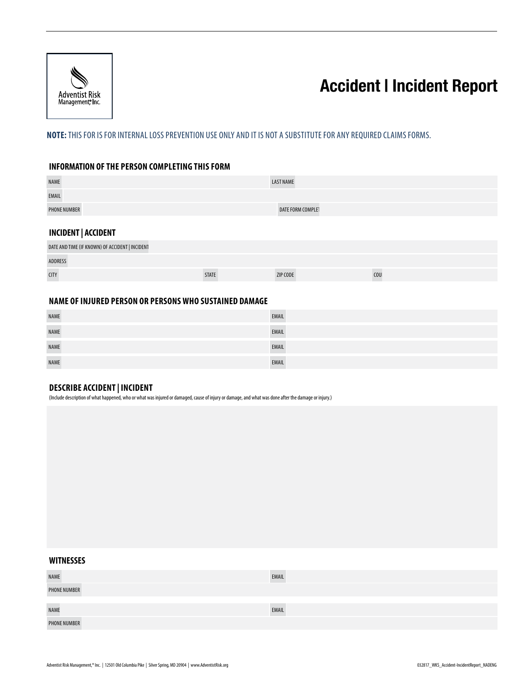

# **Accident | Incident Report**

# **NOTE:** THIS FOR IS FOR INTERNAL LOSS PREVENTION USE ONLY AND IT IS NOT A SUBSTITUTE FOR ANY REQUIRED CLAIMS FORMS.

#### **INFORMATION OF THE PERSON COMPLETING THIS FORM**

| <b>NAME</b>         | <b>LAST NAME</b>  |
|---------------------|-------------------|
| EMAIL               |                   |
| <b>PHONE NUMBER</b> | DATE FORM COMPLET |
|                     |                   |

#### **INCIDENT | ACCIDENT**

| DATE AND TIME (IF KNOWN) OF ACCIDENT   INCIDENT |              |          |            |  |  |
|-------------------------------------------------|--------------|----------|------------|--|--|
| <b>ADDRESS</b>                                  |              |          |            |  |  |
| <b>CITY</b>                                     | <b>STATE</b> | ZIP CODE | <b>COU</b> |  |  |

# **NAME OF INJURED PERSON OR PERSONS WHO SUSTAINED DAMAGE**

| <b>NAME</b> | EMAIL |
|-------------|-------|
| <b>NAME</b> | EMAIL |
| <b>NAME</b> | EMAIL |
| NAME        | EMAIL |

## **DESCRIBE ACCIDENT | INCIDENT**

(Include description of what happened, who or what was injured or damaged, cause of injury or damage, and what was done after the damage or injury.)

### **WITNESSES**

| <b>NAME</b>         | EMAIL |
|---------------------|-------|
| <b>PHONE NUMBER</b> |       |
|                     |       |
| <b>NAME</b>         | EMAIL |
| <b>PHONE NUMBER</b> |       |